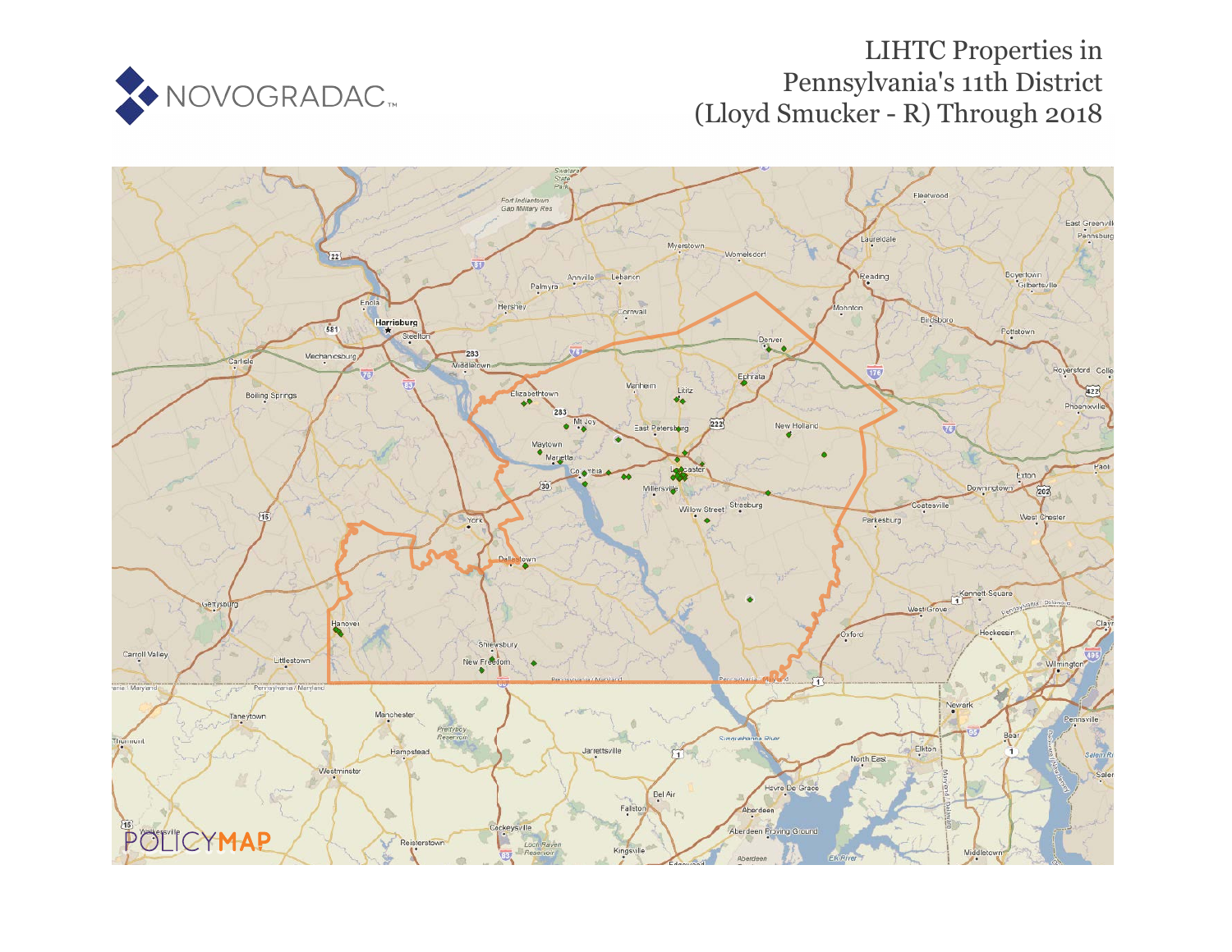

# LIHTC Properties in Pennsylvania's 11th District (Lloyd Smucker - R) Through 2018

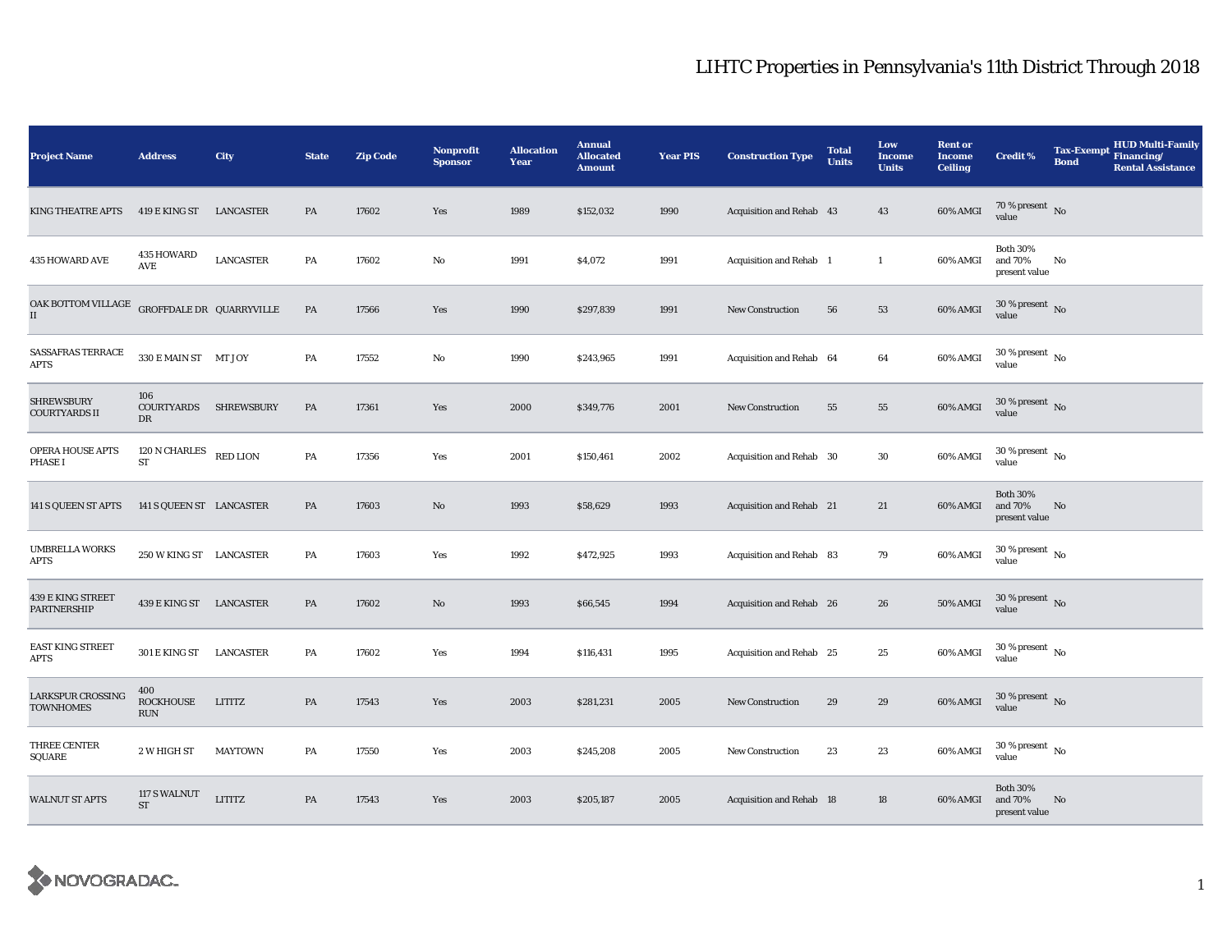| <b>Project Name</b>                       | <b>Address</b>                       | City             | <b>State</b> | <b>Zip Code</b> | Nonprofit<br><b>Sponsor</b> | <b>Allocation</b><br>Year | <b>Annual</b><br><b>Allocated</b><br><b>Amount</b> | <b>Year PIS</b> | <b>Construction Type</b> | <b>Total</b><br><b>Units</b> | Low<br><b>Income</b><br><b>Units</b> | <b>Rent or</b><br><b>Income</b><br><b>Ceiling</b> | <b>Credit %</b>                             | <b>Tax-Exempt</b><br><b>Bond</b> | <b>HUD Multi-Family</b><br>Financing/<br><b>Rental Assistance</b> |
|-------------------------------------------|--------------------------------------|------------------|--------------|-----------------|-----------------------------|---------------------------|----------------------------------------------------|-----------------|--------------------------|------------------------------|--------------------------------------|---------------------------------------------------|---------------------------------------------|----------------------------------|-------------------------------------------------------------------|
| <b>KING THEATRE APTS</b>                  | 419 E KING ST                        | LANCASTER        | PA           | 17602           | Yes                         | 1989                      | \$152,032                                          | 1990            | Acquisition and Rehab 43 |                              | 43                                   | 60% AMGI                                          | 70 % present $\hbox{~No}$<br>value          |                                  |                                                                   |
| 435 HOWARD AVE                            | 435 HOWARD<br>AVE                    | <b>LANCASTER</b> | PA           | 17602           | No                          | 1991                      | \$4,072                                            | 1991            | Acquisition and Rehab 1  |                              | $\mathbf{1}$                         | 60% AMGI                                          | <b>Both 30%</b><br>and 70%<br>present value | No                               |                                                                   |
| OAK BOTTOM VILLAGE<br>$\rm II$            | GROFFDALE DR QUARRYVILLE             |                  | PA           | 17566           | Yes                         | 1990                      | \$297,839                                          | 1991            | <b>New Construction</b>  | 56                           | 53                                   | 60% AMGI                                          | $30$ % present $\,$ No $\,$<br>value        |                                  |                                                                   |
| SASSAFRAS TERRACE<br><b>APTS</b>          | 330 E MAIN ST MT JOY                 |                  | PA           | 17552           | $\mathbf{No}$               | 1990                      | \$243,965                                          | 1991            | Acquisition and Rehab 64 |                              | 64                                   | 60% AMGI                                          | $30$ % present $\,$ No $\,$<br>value        |                                  |                                                                   |
| <b>SHREWSBURY</b><br><b>COURTYARDS II</b> | 106<br>COURTYARDS SHREWSBURY<br>DR   |                  | PA           | 17361           | Yes                         | 2000                      | \$349,776                                          | 2001            | <b>New Construction</b>  | 55                           | 55                                   | 60% AMGI                                          | $30$ % present $\,$ No $\,$<br>value        |                                  |                                                                   |
| <b>OPERA HOUSE APTS</b><br>PHASE I        | $120$ N CHARLES<br>ST                | <b>RED LION</b>  | PA           | 17356           | Yes                         | 2001                      | \$150,461                                          | 2002            | Acquisition and Rehab 30 |                              | 30                                   | 60% AMGI                                          | $30$ % present $\,$ No $\,$<br>value        |                                  |                                                                   |
| 141 S QUEEN ST APTS                       | 141 S QUEEN ST LANCASTER             |                  | PA           | 17603           | No                          | 1993                      | \$58,629                                           | 1993            | Acquisition and Rehab 21 |                              | 21                                   | 60% AMGI                                          | <b>Both 30%</b><br>and 70%<br>present value | No                               |                                                                   |
| <b>UMBRELLA WORKS</b><br><b>APTS</b>      | 250 W KING ST LANCASTER              |                  | PA           | 17603           | Yes                         | 1992                      | \$472,925                                          | 1993            | Acquisition and Rehab 83 |                              | 79                                   | 60% AMGI                                          | 30 % present $\,$ No $\,$<br>value          |                                  |                                                                   |
| 439 E KING STREET<br><b>PARTNERSHIP</b>   | 439 E KING ST LANCASTER              |                  | PA           | 17602           | No                          | 1993                      | \$66,545                                           | 1994            | Acquisition and Rehab 26 |                              | 26                                   | <b>50% AMGI</b>                                   | $30\,\%$ present $\,$ No value              |                                  |                                                                   |
| EAST KING STREET<br><b>APTS</b>           | 301 E KING ST                        | LANCASTER        | PA           | 17602           | Yes                         | 1994                      | \$116,431                                          | 1995            | Acquisition and Rehab 25 |                              | 25                                   | 60% AMGI                                          | $30$ % present $\,$ No $\,$<br>value        |                                  |                                                                   |
| LARKSPUR CROSSING<br><b>TOWNHOMES</b>     | 400<br><b>ROCKHOUSE</b><br>$\rm RUN$ | <b>LITITZ</b>    | PA           | 17543           | Yes                         | 2003                      | \$281,231                                          | 2005            | <b>New Construction</b>  | 29                           | 29                                   | 60% AMGI                                          | $30$ % present $\,$ No $\,$<br>value        |                                  |                                                                   |
| THREE CENTER<br>SQUARE                    | 2 W HIGH ST                          | <b>MAYTOWN</b>   | PA           | 17550           | Yes                         | 2003                      | \$245,208                                          | 2005            | <b>New Construction</b>  | 23                           | 23                                   | 60% AMGI                                          | $30$ % present $\,$ No $\,$<br>value        |                                  |                                                                   |
| <b>WALNUT ST APTS</b>                     | 117 S WALNUT<br><b>ST</b>            | <b>LITITZ</b>    | PA           | 17543           | Yes                         | 2003                      | \$205,187                                          | 2005            | Acquisition and Rehab 18 |                              | 18                                   | 60% AMGI                                          | <b>Both 30%</b><br>and 70%<br>present value | No                               |                                                                   |

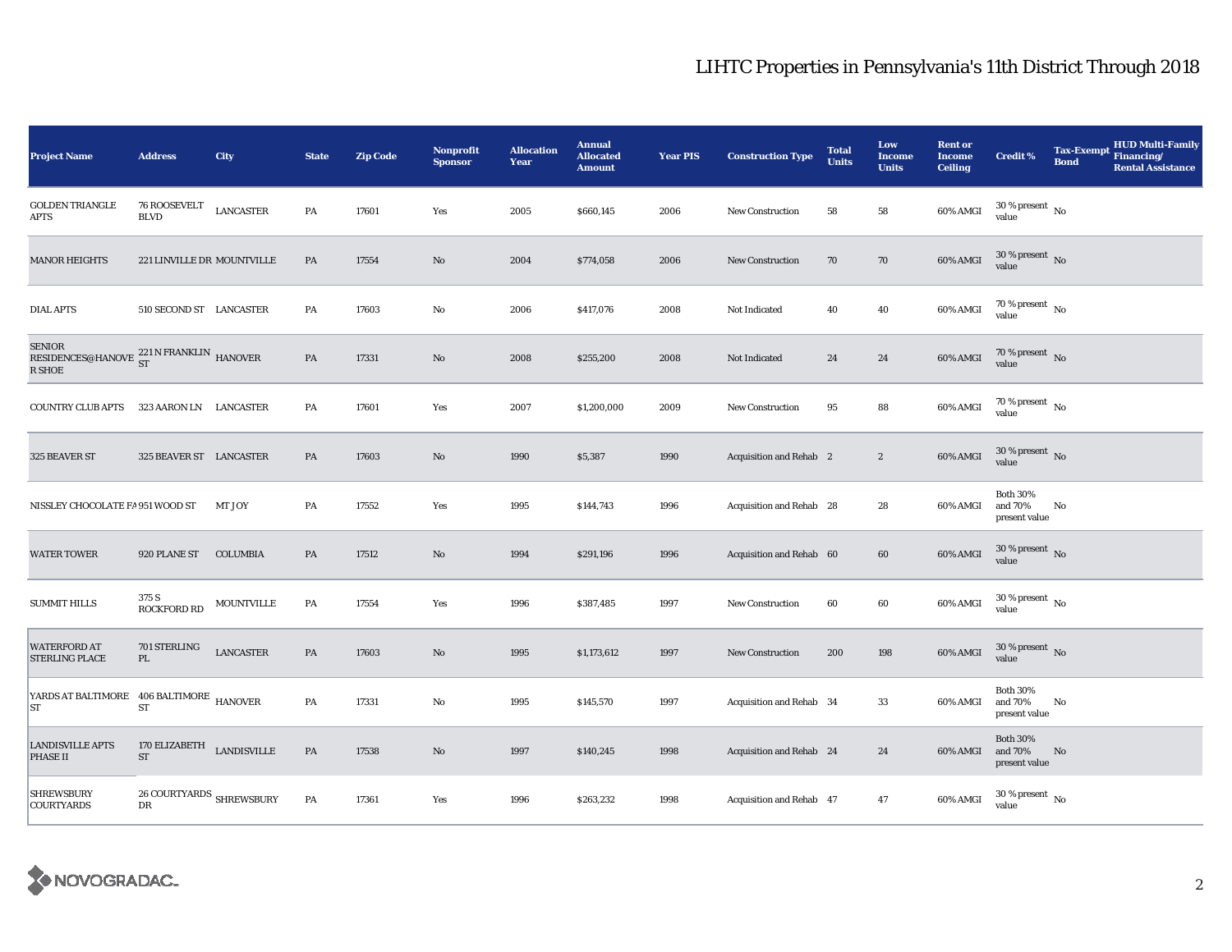| <b>Project Name</b>                                                 | <b>Address</b>                          | City             | <b>State</b>  | <b>Zip Code</b> | <b>Nonprofit</b><br><b>Sponsor</b> | <b>Allocation</b><br>Year | <b>Annual</b><br><b>Allocated</b><br><b>Amount</b> | <b>Year PIS</b> | <b>Construction Type</b> | <b>Total</b><br><b>Units</b> | Low<br><b>Income</b><br><b>Units</b> | <b>Rent or</b><br><b>Income</b><br><b>Ceiling</b> | <b>Credit %</b>                             | <b>HUD Multi-Family</b><br>Tax-Exempt Financing/<br><b>Bond</b><br><b>Rental Assistance</b> |
|---------------------------------------------------------------------|-----------------------------------------|------------------|---------------|-----------------|------------------------------------|---------------------------|----------------------------------------------------|-----------------|--------------------------|------------------------------|--------------------------------------|---------------------------------------------------|---------------------------------------------|---------------------------------------------------------------------------------------------|
| <b>GOLDEN TRIANGLE</b><br>APTS                                      | 76 ROOSEVELT<br><b>BLVD</b>             | <b>LANCASTER</b> | PA            | 17601           | Yes                                | 2005                      | \$660,145                                          | 2006            | <b>New Construction</b>  | 58                           | 58                                   | 60% AMGI                                          | $30\,\%$ present $\,$ No value              |                                                                                             |
| <b>MANOR HEIGHTS</b>                                                | 221 LINVILLE DR MOUNTVILLE              |                  | PA            | 17554           | No                                 | 2004                      | \$774,058                                          | 2006            | <b>New Construction</b>  | 70                           | 70                                   | 60% AMGI                                          | 30 % present No<br>value                    |                                                                                             |
| <b>DIAL APTS</b>                                                    | 510 SECOND ST LANCASTER                 |                  | PA            | 17603           | No                                 | 2006                      | \$417,076                                          | 2008            | Not Indicated            | 40                           | 40                                   | 60% AMGI                                          | 70 % present $\hbox{~No}$<br>value          |                                                                                             |
| <b>SENIOR</b><br>RESIDENCES@HANOVE 221 N FRANKLIN HANOVER<br>R SHOE |                                         |                  | PA            | 17331           | $\mathbf{No}$                      | 2008                      | \$255,200                                          | 2008            | Not Indicated            | 24                           | 24                                   | 60% AMGI                                          | $70\,\%$ present $\,$ No value              |                                                                                             |
| <b>COUNTRY CLUB APTS</b>                                            | 323 AARON LN LANCASTER                  |                  | PA            | 17601           | Yes                                | 2007                      | \$1,200,000                                        | 2009            | <b>New Construction</b>  | 95                           | 88                                   | 60% AMGI                                          | 70 % present $\hbox{~No}$<br>value          |                                                                                             |
| 325 BEAVER ST                                                       | 325 BEAVER ST LANCASTER                 |                  | PA            | 17603           | $\mathbf{No}$                      | 1990                      | \$5,387                                            | 1990            | Acquisition and Rehab 2  |                              | $\boldsymbol{2}$                     | 60% AMGI                                          | $30\,\%$ present $\,$ No value              |                                                                                             |
| NISSLEY CHOCOLATE FA 951 WOOD ST                                    |                                         | MT JOY           | PA            | 17552           | Yes                                | 1995                      | \$144,743                                          | 1996            | Acquisition and Rehab 28 |                              | 28                                   | 60% AMGI                                          | <b>Both 30%</b><br>and 70%<br>present value | No                                                                                          |
| <b>WATER TOWER</b>                                                  | 920 PLANE ST                            | <b>COLUMBIA</b>  | PA            | 17512           | $\mathbf{N}\mathbf{o}$             | 1994                      | \$291,196                                          | 1996            | Acquisition and Rehab 60 |                              | 60                                   | 60% AMGI                                          | $30\,\%$ present $\,$ No value              |                                                                                             |
| <b>SUMMIT HILLS</b>                                                 | 375 S<br><b>ROCKFORD RD</b>             | MOUNTVILLE       | PA            | 17554           | Yes                                | 1996                      | \$387,485                                          | 1997            | New Construction         | 60                           | 60                                   | 60% AMGI                                          | $30$ % present $\,$ No $\,$<br>value        |                                                                                             |
| <b>WATERFORD AT</b><br><b>STERLING PLACE</b>                        | 701 STERLING<br>PL                      | <b>LANCASTER</b> | PA            | 17603           | $\mathbf{N}\mathbf{o}$             | 1995                      | \$1,173,612                                        | 1997            | New Construction         | 200                          | 198                                  | 60% AMGI                                          | $30\,\%$ present $\,$ No $\,$<br>value      |                                                                                             |
| YARDS AT BALTIMORE 406 BALTIMORE HANOVER<br>ST                      | ST                                      |                  | PA            | 17331           | No                                 | 1995                      | \$145,570                                          | 1997            | Acquisition and Rehab 34 |                              | 33                                   | 60% AMGI                                          | <b>Both 30%</b><br>and 70%<br>present value | No                                                                                          |
| <b>LANDISVILLE APTS</b><br>PHASE II                                 | 170 ELIZABETH $$\tt LANDISVILLE$$<br>ST |                  | $\mathbf{PA}$ | 17538           | $\mathbf{No}$                      | 1997                      | \$140,245                                          | 1998            | Acquisition and Rehab 24 |                              | 24                                   | 60% AMGI                                          | <b>Both 30%</b><br>and 70%<br>present value | No                                                                                          |
| <b>SHREWSBURY</b><br><b>COURTYARDS</b>                              | 26 COURTYARDS $\,$ SHREWSBURY<br>DR     |                  | PA            | 17361           | Yes                                | 1996                      | \$263,232                                          | 1998            | Acquisition and Rehab 47 |                              | 47                                   | 60% AMGI                                          | $30$ % present $\,$ No value                |                                                                                             |

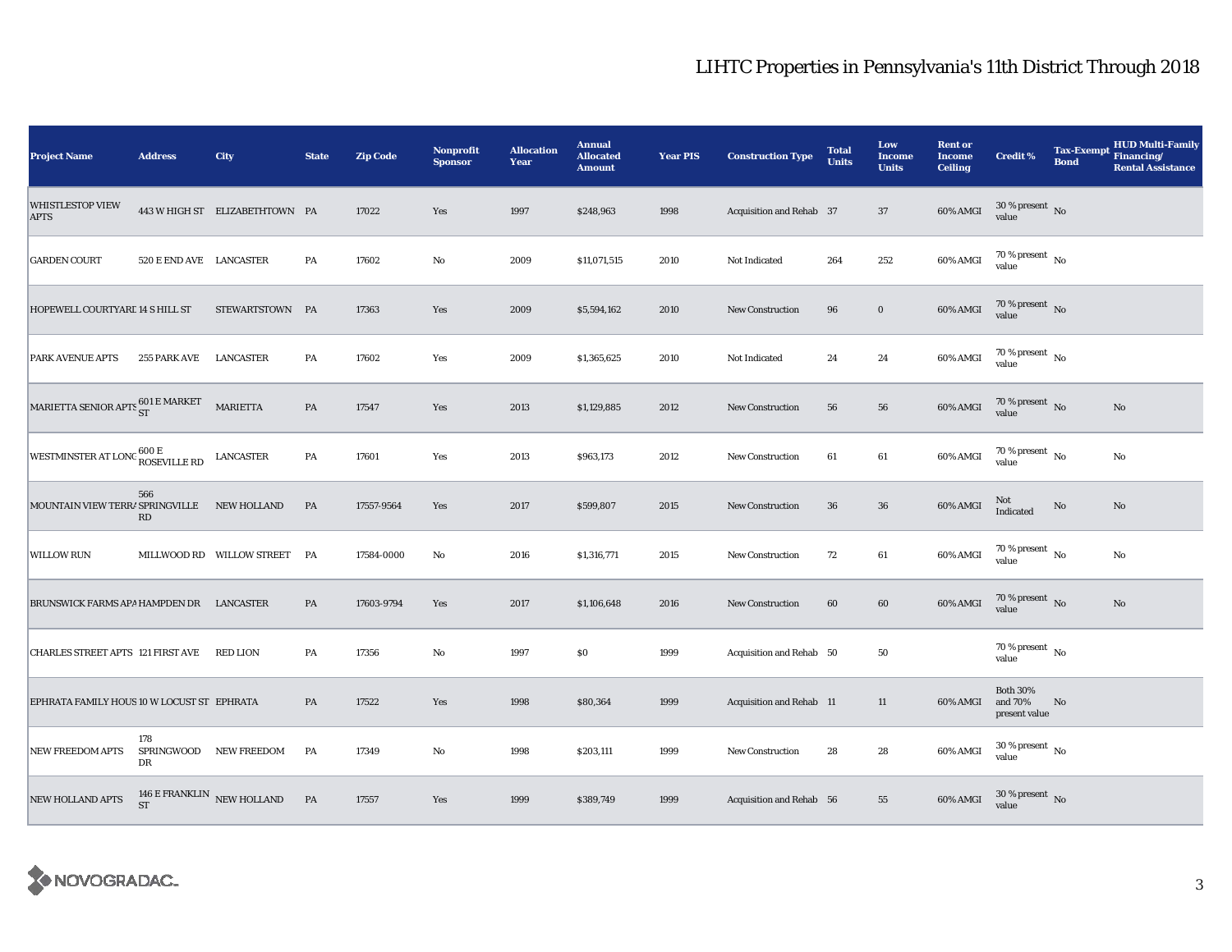| <b>Project Name</b>                                   | <b>Address</b>                | City                            | <b>State</b> | <b>Zip Code</b> | <b>Nonprofit</b><br><b>Sponsor</b> | <b>Allocation</b><br>Year | <b>Annual</b><br><b>Allocated</b><br><b>Amount</b> | <b>Year PIS</b> | <b>Construction Type</b> | <b>Total</b><br><b>Units</b> | Low<br><b>Income</b><br><b>Units</b> | <b>Rent or</b><br><b>Income</b><br><b>Ceiling</b> | <b>Credit %</b>                             | <b>Tax-Exempt</b><br><b>Bond</b> | <b>HUD Multi-Family</b><br>Financing/<br><b>Rental Assistance</b> |
|-------------------------------------------------------|-------------------------------|---------------------------------|--------------|-----------------|------------------------------------|---------------------------|----------------------------------------------------|-----------------|--------------------------|------------------------------|--------------------------------------|---------------------------------------------------|---------------------------------------------|----------------------------------|-------------------------------------------------------------------|
| <b>WHISTLESTOP VIEW</b><br><b>APTS</b>                |                               | 443 W HIGH ST ELIZABETHTOWN PA  |              | 17022           | Yes                                | 1997                      | \$248,963                                          | 1998            | Acquisition and Rehab 37 |                              | 37                                   | 60% AMGI                                          | $30\,\%$ present $\,$ No value              |                                  |                                                                   |
| <b>GARDEN COURT</b>                                   | 520 E END AVE LANCASTER       |                                 | PA           | 17602           | $\mathbf{No}$                      | 2009                      | \$11,071,515                                       | 2010            | Not Indicated            | 264                          | 252                                  | 60% AMGI                                          | 70 % present $\,$ $_{\rm No}$<br>value      |                                  |                                                                   |
| HOPEWELL COURTYARE 14 S HILL ST                       |                               | STEWARTSTOWN PA                 |              | 17363           | Yes                                | 2009                      | \$5,594,162                                        | 2010            | New Construction         | 96                           | $\mathbf 0$                          | $60\%$ AMGI                                       | $70$ % present $$\rm \, No$$ value          |                                  |                                                                   |
| PARK AVENUE APTS                                      | 255 PARK AVE                  | LANCASTER                       | PA           | 17602           | Yes                                | 2009                      | \$1,365,625                                        | 2010            | Not Indicated            | 24                           | 24                                   | 60% AMGI                                          | 70 % present $\hbox{~No}$<br>value          |                                  |                                                                   |
| MARIETTA SENIOR APTS $^{601\,\rm E\,MARKET}_{\rm ST}$ |                               | <b>MARIETTA</b>                 | PA           | 17547           | Yes                                | 2013                      | \$1,129,885                                        | 2012            | New Construction         | 56                           | 56                                   | 60% AMGI                                          | 70 % present $\hbox{~No}$<br>value          |                                  | $\mathbf{N}\mathbf{o}$                                            |
| WESTMINSTER AT LONG 600 E<br>ROSEVILLE RD             |                               | <b>LANCASTER</b>                | PA           | 17601           | Yes                                | 2013                      | \$963,173                                          | 2012            | New Construction         | 61                           | 61                                   | 60% AMGI                                          | 70 % present $\hbox{~No}$<br>value          |                                  | No                                                                |
| MOUNTAIN VIEW TERRA SPRINGVILLE                       | 566<br>$\mathbf{R}\mathbf{D}$ | NEW HOLLAND                     | PA           | 17557-9564      | Yes                                | 2017                      | \$599,807                                          | 2015            | <b>New Construction</b>  | 36                           | ${\bf 36}$                           | 60% AMGI                                          | Not<br>Indicated                            | $\rm No$                         | No                                                                |
| <b>WILLOW RUN</b>                                     |                               | MILLWOOD RD WILLOW STREET       | PA           | 17584-0000      | No                                 | 2016                      | \$1,316,771                                        | 2015            | <b>New Construction</b>  | 72                           | $61\,$                               | 60% AMGI                                          | 70 % present $\,$ No $\,$<br>value          |                                  | No                                                                |
| BRUNSWICK FARMS APA HAMPDEN DR LANCASTER              |                               |                                 | PA           | 17603-9794      | Yes                                | 2017                      | \$1,106,648                                        | 2016            | New Construction         | 60                           | 60                                   | 60% AMGI                                          | 70 % present $\hbox{~No}$<br>value          |                                  | $\mathbf{No}$                                                     |
| <b>CHARLES STREET APTS 121 FIRST AVE</b>              |                               | RED LION                        | PA           | 17356           | No                                 | 1997                      | \$0                                                | 1999            | Acquisition and Rehab 50 |                              | 50                                   |                                                   | 70 % present $\hbox{~No}$<br>value          |                                  |                                                                   |
| EPHRATA FAMILY HOUS 10 W LOCUST ST EPHRATA            |                               |                                 | PA           | 17522           | Yes                                | 1998                      | \$80,364                                           | 1999            | Acquisition and Rehab 11 |                              | 11                                   | 60% AMGI                                          | <b>Both 30%</b><br>and 70%<br>present value | No                               |                                                                   |
| <b>NEW FREEDOM APTS</b>                               | 178<br>DR                     | SPRINGWOOD NEW FREEDOM          | PA           | 17349           | $\mathbf{No}$                      | 1998                      | \$203,111                                          | 1999            | <b>New Construction</b>  | 28                           | 28                                   | 60% AMGI                                          | $30\,\%$ present $\,$ No value              |                                  |                                                                   |
| <b>NEW HOLLAND APTS</b>                               | <b>ST</b>                     | 146 E FRANKLIN $\,$ NEW HOLLAND | PA           | 17557           | Yes                                | 1999                      | \$389,749                                          | 1999            | Acquisition and Rehab 56 |                              | 55                                   | 60% AMGI                                          | $30\,\%$ present $\,$ No value              |                                  |                                                                   |

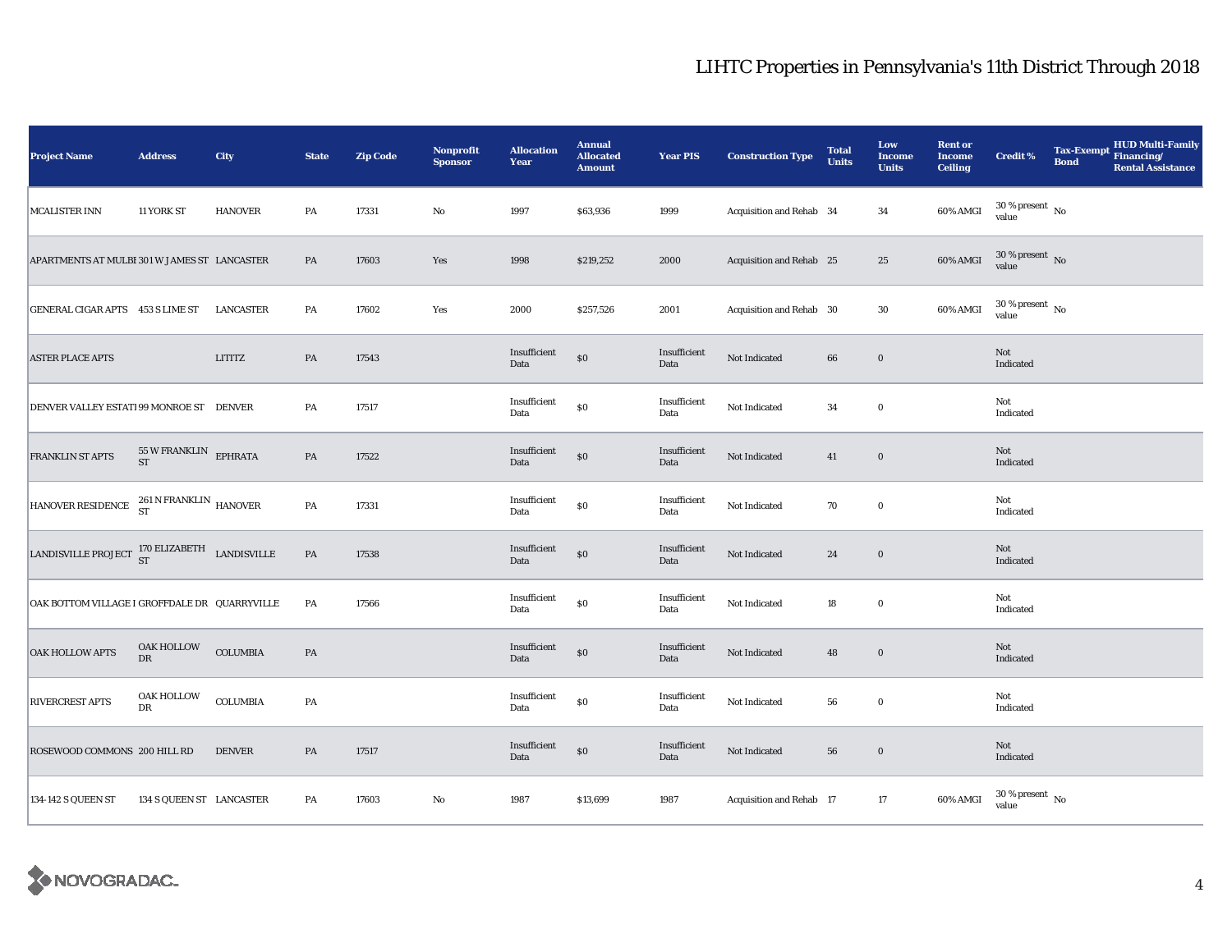| <b>Project Name</b>                                     | <b>Address</b>                           | City             | <b>State</b>  | <b>Zip Code</b> | Nonprofit<br><b>Sponsor</b> | <b>Allocation</b><br>Year | <b>Annual</b><br><b>Allocated</b><br><b>Amount</b> | <b>Year PIS</b>      | <b>Construction Type</b> | <b>Total</b><br><b>Units</b> | Low<br><b>Income</b><br><b>Units</b> | <b>Rent or</b><br><b>Income</b><br><b>Ceiling</b> | <b>Credit %</b>                | <b>Bond</b> | <b>HUD Multi-Family</b><br>Tax-Exempt Financing/<br><b>Rental Assistance</b> |
|---------------------------------------------------------|------------------------------------------|------------------|---------------|-----------------|-----------------------------|---------------------------|----------------------------------------------------|----------------------|--------------------------|------------------------------|--------------------------------------|---------------------------------------------------|--------------------------------|-------------|------------------------------------------------------------------------------|
| <b>MCALISTER INN</b>                                    | 11 YORK ST                               | <b>HANOVER</b>   | PA            | 17331           | $\rm No$                    | 1997                      | \$63,936                                           | 1999                 | Acquisition and Rehab 34 |                              | $34\,$                               | <b>60% AMGI</b>                                   | $30\,\%$ present $\,$ No value |             |                                                                              |
| APARTMENTS AT MULBI 301 W JAMES ST LANCASTER            |                                          |                  | PA            | 17603           | Yes                         | 1998                      | \$219,252                                          | 2000                 | Acquisition and Rehab 25 |                              | $25\,$                               | $60\%$ AMGI                                       | $30\,\%$ present $\,$ No value |             |                                                                              |
| GENERAL CIGAR APTS 453 S LIME ST                        |                                          | <b>LANCASTER</b> | PA            | 17602           | Yes                         | 2000                      | \$257,526                                          | 2001                 | Acquisition and Rehab 30 |                              | $30\,$                               | 60% AMGI                                          | $30$ % present $_{\rm{No}}$    |             |                                                                              |
| <b>ASTER PLACE APTS</b>                                 |                                          | LITITZ           | PA            | 17543           |                             | Insufficient<br>Data      | $\$0$                                              | Insufficient<br>Data | Not Indicated            | 66                           | $\bf{0}$                             |                                                   | Not<br>Indicated               |             |                                                                              |
| DENVER VALLEY ESTATI 99 MONROE ST DENVER                |                                          |                  | PA            | 17517           |                             | Insufficient<br>Data      | $\$0$                                              | Insufficient<br>Data | Not Indicated            | 34                           | $\bf{0}$                             |                                                   | Not<br>Indicated               |             |                                                                              |
| FRANKLIN ST APTS                                        | $55\,$ W FRANKLIN $\quad$ EPHRATA ST     |                  | $\mathbf{PA}$ | 17522           |                             | Insufficient<br>Data      | $\$0$                                              | Insufficient<br>Data | Not Indicated            | 41                           | $\boldsymbol{0}$                     |                                                   | Not<br>Indicated               |             |                                                                              |
| HANOVER RESIDENCE 261 N FRANKLIN HANOVER                |                                          |                  | $\mathbf{PA}$ | 17331           |                             | Insufficient<br>Data      | $\$0$                                              | Insufficient<br>Data | Not Indicated            | 70                           | $\mathbf 0$                          |                                                   | Not<br>Indicated               |             |                                                                              |
| LANDISVILLE PROJECT $^{170}_{ST}$ ELIZABETH LANDISVILLE |                                          |                  | $\mathbf{PA}$ | 17538           |                             | Insufficient<br>Data      | $\$0$                                              | Insufficient<br>Data | Not Indicated            | $\bf 24$                     | $\bf{0}$                             |                                                   | Not<br>Indicated               |             |                                                                              |
| OAK BOTTOM VILLAGE I GROFFDALE DR QUARRYVILLE           |                                          |                  | PA            | 17566           |                             | Insufficient<br>Data      | $\$0$                                              | Insufficient<br>Data | Not Indicated            | 18                           | $\mathbf 0$                          |                                                   | Not<br>Indicated               |             |                                                                              |
| <b>OAK HOLLOW APTS</b>                                  | $\mathop{\bf OAK}\nolimits$ HOLLOW<br>DR | COLUMBIA         | $\mathbf{PA}$ |                 |                             | Insufficient<br>Data      | $\$0$                                              | Insufficient<br>Data | Not Indicated            | 48                           | $\bf{0}$                             |                                                   | Not<br>Indicated               |             |                                                                              |
| RIVERCREST APTS                                         | OAK HOLLOW<br>DR                         | <b>COLUMBIA</b>  | PA            |                 |                             | Insufficient<br>Data      | $\$0$                                              | Insufficient<br>Data | Not Indicated            | 56                           | $\bf{0}$                             |                                                   | Not<br>Indicated               |             |                                                                              |
| ROSEWOOD COMMONS 200 HILL RD                            |                                          | <b>DENVER</b>    | PA            | 17517           |                             | Insufficient<br>Data      | $\$0$                                              | Insufficient<br>Data | Not Indicated            | ${\bf 56}$                   | $\boldsymbol{0}$                     |                                                   | Not<br>Indicated               |             |                                                                              |
| 134-142 S QUEEN ST                                      | 134 S QUEEN ST LANCASTER                 |                  | PA            | 17603           | $\rm No$                    | 1987                      | \$13,699                                           | 1987                 | Acquisition and Rehab 17 |                              | 17                                   | 60% AMGI                                          | $30\,\%$ present $\,$ No value |             |                                                                              |

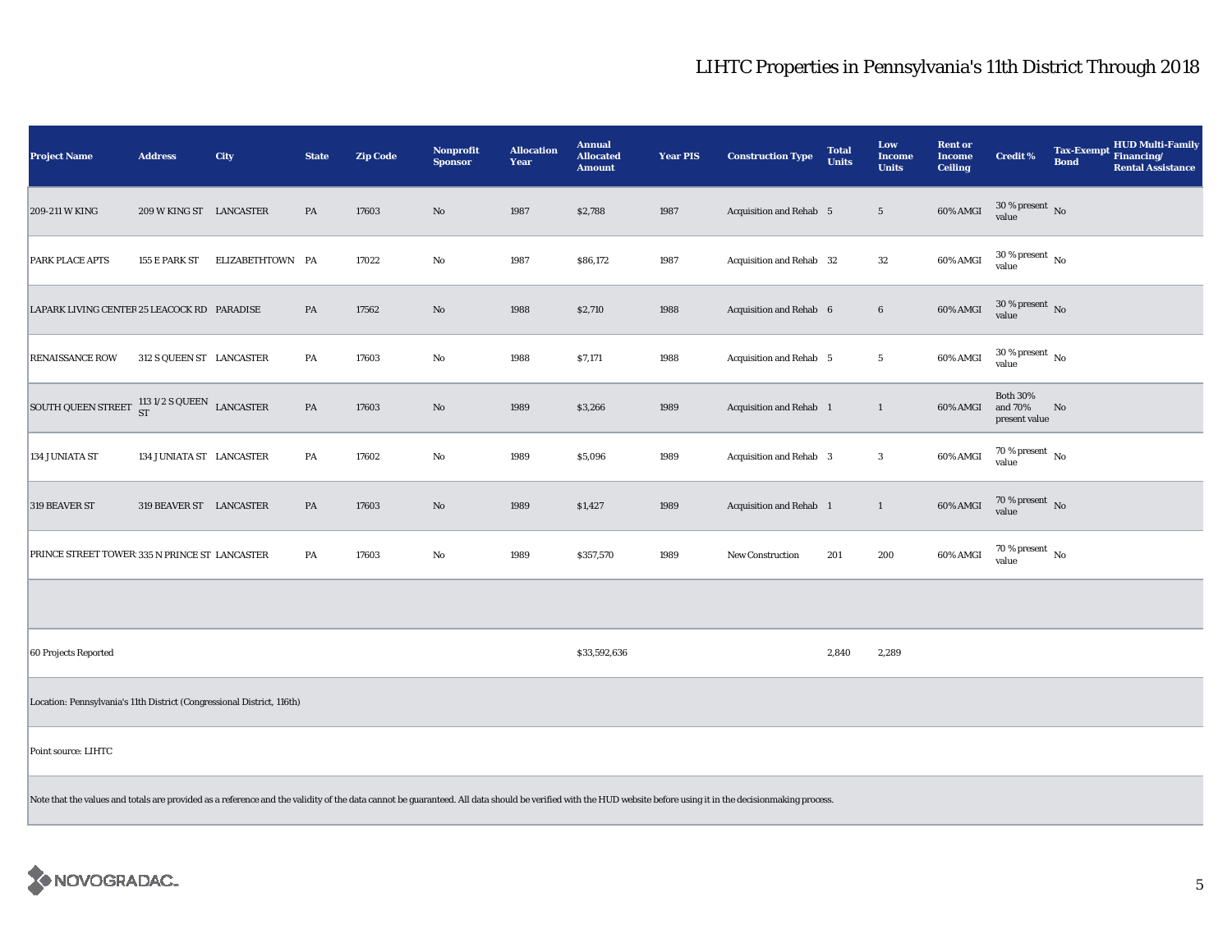| <b>Project Name</b>                                                    | <b>Address</b>           | City                                                                                                                                                                                                           | <b>State</b> | <b>Zip Code</b> | Nonprofit<br><b>Sponsor</b> | <b>Allocation</b><br><b>Year</b> | <b>Annual</b><br><b>Allocated</b><br><b>Amount</b> | <b>Year PIS</b> | <b>Construction Type</b> | <b>Total</b><br><b>Units</b> | Low<br><b>Income</b><br><b>Units</b> | <b>Rent or</b><br><b>Income</b><br><b>Ceiling</b> | <b>Credit %</b>                             | Tax-Exempt HUD Multi-Family<br><b>Bond</b><br><b>Rental Assistance</b> |
|------------------------------------------------------------------------|--------------------------|----------------------------------------------------------------------------------------------------------------------------------------------------------------------------------------------------------------|--------------|-----------------|-----------------------------|----------------------------------|----------------------------------------------------|-----------------|--------------------------|------------------------------|--------------------------------------|---------------------------------------------------|---------------------------------------------|------------------------------------------------------------------------|
| 209-211 W KING                                                         | 209 W KING ST LANCASTER  |                                                                                                                                                                                                                | PA           | 17603           | $\rm No$                    | 1987                             | \$2,788                                            | 1987            | Acquisition and Rehab 5  |                              | $5\phantom{.0}$                      | 60% AMGI                                          | $30\,\%$ present $\,$ No value              |                                                                        |
| PARK PLACE APTS                                                        | 155 E PARK ST            | ELIZABETHTOWN PA                                                                                                                                                                                               |              | 17022           | No                          | 1987                             | \$86,172                                           | 1987            | Acquisition and Rehab 32 |                              | $32\,$                               | 60% AMGI                                          | $30\,\%$ present $\,$ No value              |                                                                        |
| LAPARK LIVING CENTER 25 LEACOCK RD PARADISE                            |                          |                                                                                                                                                                                                                | PA           | 17562           | $\rm No$                    | 1988                             | \$2,710                                            | 1988            | Acquisition and Rehab 6  |                              | $\bf 6$                              | 60% AMGI                                          | $30\,\%$ present $\,$ No value              |                                                                        |
| <b>RENAISSANCE ROW</b>                                                 | 312 S QUEEN ST LANCASTER |                                                                                                                                                                                                                | PA           | 17603           | No                          | 1988                             | \$7,171                                            | 1988            | Acquisition and Rehab 5  |                              | $5\phantom{.0}$                      | 60% AMGI                                          | $30\,\%$ present $\,$ No value              |                                                                        |
| SOUTH QUEEN STREET $\frac{113}{ST}$ 1/2 S QUEEN LANCASTER              |                          |                                                                                                                                                                                                                | PA           | 17603           | $\rm No$                    | 1989                             | \$3,266                                            | 1989            | Acquisition and Rehab 1  |                              | 1                                    | 60% AMGI                                          | <b>Both 30%</b><br>and 70%<br>present value | No                                                                     |
| 134 JUNIATA ST                                                         | 134 JUNIATA ST LANCASTER |                                                                                                                                                                                                                | PA           | 17602           | No                          | 1989                             | \$5,096                                            | 1989            | Acquisition and Rehab 3  |                              | $\mathbf{3}$                         | 60% AMGI                                          | $70$ % present $\,$ No $\,$<br>value        |                                                                        |
| 319 BEAVER ST                                                          | 319 BEAVER ST LANCASTER  |                                                                                                                                                                                                                | PA           | 17603           | No                          | 1989                             | \$1,427                                            | 1989            | Acquisition and Rehab 1  |                              | $\mathbf{1}$                         | 60% AMGI                                          | $70\,\%$ present $\,$ No value              |                                                                        |
| PRINCE STREET TOWER: 335 N PRINCE ST LANCASTER                         |                          |                                                                                                                                                                                                                | PA           | 17603           | No                          | 1989                             | \$357,570                                          | 1989            | <b>New Construction</b>  | 201                          | 200                                  | 60% AMGI                                          | $70$ % present $_{\rm{No}}$                 |                                                                        |
|                                                                        |                          |                                                                                                                                                                                                                |              |                 |                             |                                  |                                                    |                 |                          |                              |                                      |                                                   |                                             |                                                                        |
| 60 Projects Reported                                                   |                          |                                                                                                                                                                                                                |              |                 |                             |                                  | \$33,592,636                                       |                 |                          | 2,840                        | 2,289                                |                                                   |                                             |                                                                        |
| Location: Pennsylvania's 11th District (Congressional District, 116th) |                          |                                                                                                                                                                                                                |              |                 |                             |                                  |                                                    |                 |                          |                              |                                      |                                                   |                                             |                                                                        |
| Point source: LIHTC                                                    |                          |                                                                                                                                                                                                                |              |                 |                             |                                  |                                                    |                 |                          |                              |                                      |                                                   |                                             |                                                                        |
|                                                                        |                          | Note that the values and totals are provided as a reference and the validity of the data cannot be guaranteed. All data should be verified with the HUD website before using it in the decisionmaking process. |              |                 |                             |                                  |                                                    |                 |                          |                              |                                      |                                                   |                                             |                                                                        |